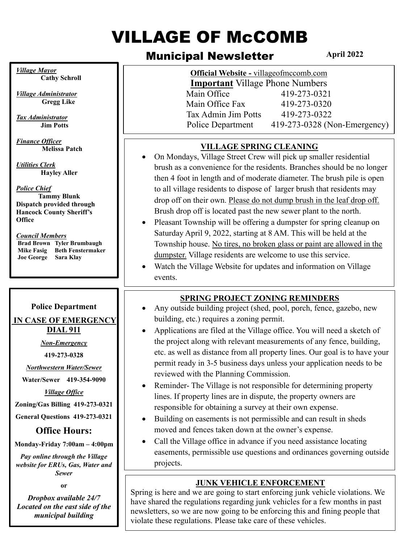# **VILLAGE OF McCOMB**

## Municipal Newsletter

**April 2022**

| <b>Village Mayor</b><br><b>Cathy Schroll</b>                                                                                                                                                                                                                                                                                                                                    | Official Website - villageofmccomb.com<br><b>Important</b> Village Phone Numbers                                                                                                                                                                                                                                                                                                                                                                                                                                                                                                                                                                                                                                                                                                                                                                                |
|---------------------------------------------------------------------------------------------------------------------------------------------------------------------------------------------------------------------------------------------------------------------------------------------------------------------------------------------------------------------------------|-----------------------------------------------------------------------------------------------------------------------------------------------------------------------------------------------------------------------------------------------------------------------------------------------------------------------------------------------------------------------------------------------------------------------------------------------------------------------------------------------------------------------------------------------------------------------------------------------------------------------------------------------------------------------------------------------------------------------------------------------------------------------------------------------------------------------------------------------------------------|
| <b>Village Administrator</b><br><b>Gregg Like</b>                                                                                                                                                                                                                                                                                                                               | Main Office<br>419-273-0321<br>419-273-0320<br>Main Office Fax                                                                                                                                                                                                                                                                                                                                                                                                                                                                                                                                                                                                                                                                                                                                                                                                  |
| <b>Tax Administrator</b><br><b>Jim Potts</b>                                                                                                                                                                                                                                                                                                                                    | Tax Admin Jim Potts<br>419-273-0322<br>419-273-0328 (Non-Emergency)<br>Police Department                                                                                                                                                                                                                                                                                                                                                                                                                                                                                                                                                                                                                                                                                                                                                                        |
| <b>Finance Officer</b><br><b>Melissa Patch</b><br><b>Utilities Clerk</b><br><b>Hayley Aller</b><br><b>Police Chief</b><br><b>Tammy Blunk</b><br>Dispatch provided through<br><b>Hancock County Sheriff's</b><br><b>Office</b><br><b>Council Members</b><br><b>Brad Brown</b> Tyler Brumbaugh<br><b>Beth Fenstermaker</b><br><b>Mike Fasig</b><br>Sara Klay<br><b>Joe George</b> | <b>VILLAGE SPRING CLEANING</b><br>On Mondays, Village Street Crew will pick up smaller residential<br>brush as a convenience for the residents. Branches should be no longer<br>then 4 foot in length and of moderate diameter. The brush pile is open<br>to all village residents to dispose of larger brush that residents may<br>drop off on their own. Please do not dump brush in the leaf drop off.<br>Brush drop off is located past the new sewer plant to the north.<br>Pleasant Township will be offering a dumpster for spring cleanup on<br>$\bullet$<br>Saturday April 9, 2022, starting at 8 AM. This will be held at the<br>Township house. No tires, no broken glass or paint are allowed in the<br>dumpster. Village residents are welcome to use this service.<br>Watch the Village Website for updates and information on Village<br>events. |
|                                                                                                                                                                                                                                                                                                                                                                                 |                                                                                                                                                                                                                                                                                                                                                                                                                                                                                                                                                                                                                                                                                                                                                                                                                                                                 |
| <b>Police Department</b>                                                                                                                                                                                                                                                                                                                                                        | <b>SPRING PROJECT ZONING REMINDERS</b><br>Any outside building project (shed, pool, porch, fence, gazebo, new                                                                                                                                                                                                                                                                                                                                                                                                                                                                                                                                                                                                                                                                                                                                                   |
| IN CASE OF EMERGENCY                                                                                                                                                                                                                                                                                                                                                            | building, etc.) requires a zoning permit.                                                                                                                                                                                                                                                                                                                                                                                                                                                                                                                                                                                                                                                                                                                                                                                                                       |
| <b>DIAL 911</b>                                                                                                                                                                                                                                                                                                                                                                 | Applications are filed at the Village office. You will need a sketch of                                                                                                                                                                                                                                                                                                                                                                                                                                                                                                                                                                                                                                                                                                                                                                                         |
| <b>Non-Emergency</b>                                                                                                                                                                                                                                                                                                                                                            | the project along with relevant measurements of any fence, building,                                                                                                                                                                                                                                                                                                                                                                                                                                                                                                                                                                                                                                                                                                                                                                                            |
| 419-273-0328                                                                                                                                                                                                                                                                                                                                                                    | etc. as well as distance from all property lines. Our goal is to have your                                                                                                                                                                                                                                                                                                                                                                                                                                                                                                                                                                                                                                                                                                                                                                                      |
| <b>Northwestern Water/Sewer</b>                                                                                                                                                                                                                                                                                                                                                 | permit ready in 3-5 business days unless your application needs to be                                                                                                                                                                                                                                                                                                                                                                                                                                                                                                                                                                                                                                                                                                                                                                                           |
| Water/Sewer 419-354-9090                                                                                                                                                                                                                                                                                                                                                        | reviewed with the Planning Commission.                                                                                                                                                                                                                                                                                                                                                                                                                                                                                                                                                                                                                                                                                                                                                                                                                          |
| <b>Village Office</b>                                                                                                                                                                                                                                                                                                                                                           | Reminder-The Village is not responsible for determining property                                                                                                                                                                                                                                                                                                                                                                                                                                                                                                                                                                                                                                                                                                                                                                                                |
| Zoning/Gas Billing 419-273-0321                                                                                                                                                                                                                                                                                                                                                 | lines. If property lines are in dispute, the property owners are                                                                                                                                                                                                                                                                                                                                                                                                                                                                                                                                                                                                                                                                                                                                                                                                |
| General Questions 419-273-0321                                                                                                                                                                                                                                                                                                                                                  | responsible for obtaining a survey at their own expense.                                                                                                                                                                                                                                                                                                                                                                                                                                                                                                                                                                                                                                                                                                                                                                                                        |
| <b>Office Hours:</b>                                                                                                                                                                                                                                                                                                                                                            | Building on easements is not permissible and can result in sheds<br>moved and fences taken down at the owner's expense.                                                                                                                                                                                                                                                                                                                                                                                                                                                                                                                                                                                                                                                                                                                                         |
|                                                                                                                                                                                                                                                                                                                                                                                 | Call the Village office in advance if you need assistance locating                                                                                                                                                                                                                                                                                                                                                                                                                                                                                                                                                                                                                                                                                                                                                                                              |
| Monday-Friday 7:00am - 4:00pm<br>Pay online through the Village<br>website for ERUs, Gas, Water and                                                                                                                                                                                                                                                                             | easements, permissible use questions and ordinances governing outside<br>projects.                                                                                                                                                                                                                                                                                                                                                                                                                                                                                                                                                                                                                                                                                                                                                                              |
| <b>Sewer</b>                                                                                                                                                                                                                                                                                                                                                                    |                                                                                                                                                                                                                                                                                                                                                                                                                                                                                                                                                                                                                                                                                                                                                                                                                                                                 |
| 0r<br>Dropbox available 24/7                                                                                                                                                                                                                                                                                                                                                    | <b>JUNK VEHICLE ENFORCEMENT</b><br>Spring is here and we are going to start enforcing junk vehicle violations. We<br>have shared the regulations regarding junk vehicles for a few months in past                                                                                                                                                                                                                                                                                                                                                                                                                                                                                                                                                                                                                                                               |

newsletters, so we are now going to be enforcing this and fining people that

violate these regulations. Please take care of these vehicles.

*municipal building*